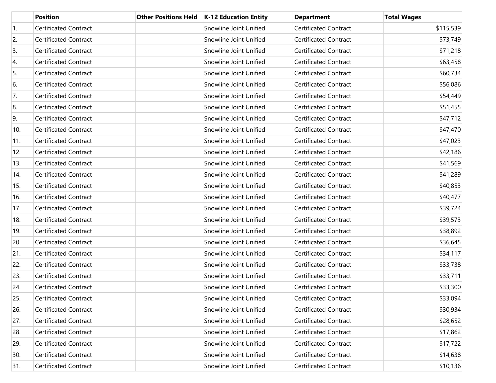|     | <b>Position</b>              | <b>Other Positions Held</b> | K-12 Education Entity  | <b>Department</b>            | <b>Total Wages</b> |
|-----|------------------------------|-----------------------------|------------------------|------------------------------|--------------------|
| 1.  | <b>Certificated Contract</b> |                             | Snowline Joint Unified | <b>Certificated Contract</b> | \$115,539          |
| 2.  | <b>Certificated Contract</b> |                             | Snowline Joint Unified | <b>Certificated Contract</b> | \$73,749           |
| 3.  | <b>Certificated Contract</b> |                             | Snowline Joint Unified | <b>Certificated Contract</b> | \$71,218           |
| 4.  | <b>Certificated Contract</b> |                             | Snowline Joint Unified | <b>Certificated Contract</b> | \$63,458           |
| 5.  | <b>Certificated Contract</b> |                             | Snowline Joint Unified | <b>Certificated Contract</b> | \$60,734           |
| 6.  | <b>Certificated Contract</b> |                             | Snowline Joint Unified | <b>Certificated Contract</b> | \$56,086           |
| 7.  | <b>Certificated Contract</b> |                             | Snowline Joint Unified | <b>Certificated Contract</b> | \$54,449           |
| 8.  | <b>Certificated Contract</b> |                             | Snowline Joint Unified | <b>Certificated Contract</b> | \$51,455           |
| 9.  | <b>Certificated Contract</b> |                             | Snowline Joint Unified | <b>Certificated Contract</b> | \$47,712           |
| 10. | <b>Certificated Contract</b> |                             | Snowline Joint Unified | <b>Certificated Contract</b> | \$47,470           |
| 11. | <b>Certificated Contract</b> |                             | Snowline Joint Unified | <b>Certificated Contract</b> | \$47,023           |
| 12. | <b>Certificated Contract</b> |                             | Snowline Joint Unified | <b>Certificated Contract</b> | \$42,186           |
| 13. | <b>Certificated Contract</b> |                             | Snowline Joint Unified | <b>Certificated Contract</b> | \$41,569           |
| 14. | <b>Certificated Contract</b> |                             | Snowline Joint Unified | <b>Certificated Contract</b> | \$41,289           |
| 15. | <b>Certificated Contract</b> |                             | Snowline Joint Unified | <b>Certificated Contract</b> | \$40,853           |
| 16. | <b>Certificated Contract</b> |                             | Snowline Joint Unified | <b>Certificated Contract</b> | \$40,477           |
| 17. | <b>Certificated Contract</b> |                             | Snowline Joint Unified | <b>Certificated Contract</b> | \$39,724           |
| 18. | <b>Certificated Contract</b> |                             | Snowline Joint Unified | <b>Certificated Contract</b> | \$39,573           |
| 19. | <b>Certificated Contract</b> |                             | Snowline Joint Unified | <b>Certificated Contract</b> | \$38,892           |
| 20. | <b>Certificated Contract</b> |                             | Snowline Joint Unified | <b>Certificated Contract</b> | \$36,645           |
| 21. | <b>Certificated Contract</b> |                             | Snowline Joint Unified | <b>Certificated Contract</b> | \$34,117           |
| 22. | <b>Certificated Contract</b> |                             | Snowline Joint Unified | <b>Certificated Contract</b> | \$33,738           |
| 23. | <b>Certificated Contract</b> |                             | Snowline Joint Unified | <b>Certificated Contract</b> | \$33,711           |
| 24. | <b>Certificated Contract</b> |                             | Snowline Joint Unified | <b>Certificated Contract</b> | \$33,300           |
| 25. | Certificated Contract        |                             | Snowline Joint Unified | <b>Certificated Contract</b> | \$33,094           |
| 26. | <b>Certificated Contract</b> |                             | Snowline Joint Unified | Certificated Contract        | \$30,934           |
| 27. | Certificated Contract        |                             | Snowline Joint Unified | <b>Certificated Contract</b> | \$28,652           |
| 28. | Certificated Contract        |                             | Snowline Joint Unified | Certificated Contract        | \$17,862           |
| 29. | Certificated Contract        |                             | Snowline Joint Unified | <b>Certificated Contract</b> | \$17,722           |
| 30. | <b>Certificated Contract</b> |                             | Snowline Joint Unified | <b>Certificated Contract</b> | \$14,638           |
| 31. | Certificated Contract        |                             | Snowline Joint Unified | <b>Certificated Contract</b> | \$10,136           |